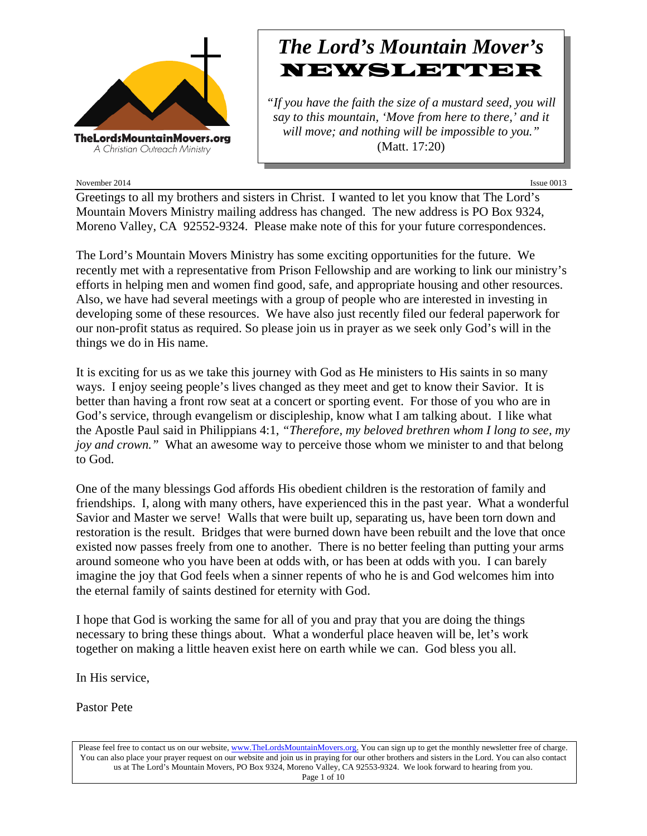

# *The Lord's Mountain Mover's* NEWSLETTER

*"If you have the faith the size of a mustard seed, you will say to this mountain, 'Move from here to there,' and it will move; and nothing will be impossible to you."* (Matt. 17:20)

November 2014 Issue 0013

Greetings to all my brothers and sisters in Christ. I wanted to let you know that The Lord's Mountain Movers Ministry mailing address has changed. The new address is PO Box 9324, Moreno Valley, CA 92552-9324. Please make note of this for your future correspondences.

The Lord's Mountain Movers Ministry has some exciting opportunities for the future. We recently met with a representative from Prison Fellowship and are working to link our ministry's efforts in helping men and women find good, safe, and appropriate housing and other resources. Also, we have had several meetings with a group of people who are interested in investing in developing some of these resources. We have also just recently filed our federal paperwork for our non-profit status as required. So please join us in prayer as we seek only God's will in the things we do in His name.

It is exciting for us as we take this journey with God as He ministers to His saints in so many ways. I enjoy seeing people's lives changed as they meet and get to know their Savior. It is better than having a front row seat at a concert or sporting event. For those of you who are in God's service, through evangelism or discipleship, know what I am talking about. I like what the Apostle Paul said in Philippians 4:1, *"Therefore, my beloved brethren whom I long to see, my joy and crown.*" What an awesome way to perceive those whom we minister to and that belong to God.

One of the many blessings God affords His obedient children is the restoration of family and friendships. I, along with many others, have experienced this in the past year. What a wonderful Savior and Master we serve! Walls that were built up, separating us, have been torn down and restoration is the result. Bridges that were burned down have been rebuilt and the love that once existed now passes freely from one to another. There is no better feeling than putting your arms around someone who you have been at odds with, or has been at odds with you. I can barely imagine the joy that God feels when a sinner repents of who he is and God welcomes him into the eternal family of saints destined for eternity with God.

I hope that God is working the same for all of you and pray that you are doing the things necessary to bring these things about. What a wonderful place heaven will be, let's work together on making a little heaven exist here on earth while we can. God bless you all.

In His service,

Pastor Pete

Please feel free to contact us on our website, ww[w.TheLordsMountainMovers.o](http://www.thelordsmountainmovers.org/)rg. You can sign up to get the monthly newsletter free of charge. You can also place your prayer request on our website and join us in praying for our other brothers and sisters in the Lord. You can also contact us at The Lord's Mountain Movers, PO Box 9324, Moreno Valley, CA 92553-9324. We look forward to hearing from you. Page 1 of 10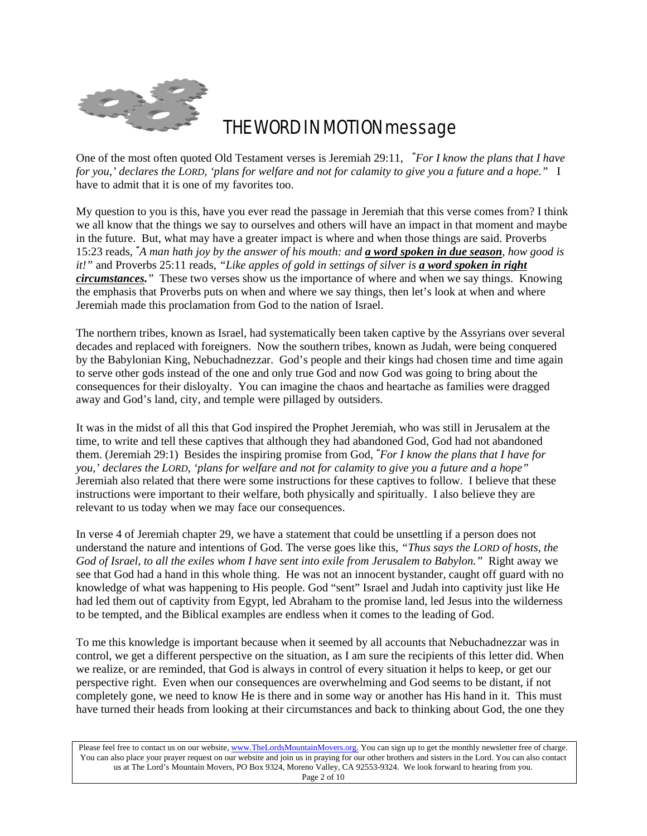

# THE WORD IN MOTION message

One of the most often quoted Old Testament verses is Jeremiah 29:11, *" For I know the plans that I have for you,' declares the LORD, 'plans for welfare and not for calamity to give you a future and a hope."* I have to admit that it is one of my favorites too.

My question to you is this, have you ever read the passage in Jeremiah that this verse comes from? I think we all know that the things we say to ourselves and others will have an impact in that moment and maybe in the future. But, what may have a greater impact is where and when those things are said. Proverbs 15:23 reads, *" A man hath joy by the answer of his mouth: and a word spoken in due season, how good is it!"* and Proverbs 25:11 reads, *"Like apples of gold in settings of silver is a word spoken in right circumstances."* These two verses show us the importance of where and when we say things. Knowing the emphasis that Proverbs puts on when and where we say things, then let's look at when and where Jeremiah made this proclamation from God to the nation of Israel.

The northern tribes, known as Israel, had systematically been taken captive by the Assyrians over several decades and replaced with foreigners. Now the southern tribes, known as Judah, were being conquered by the Babylonian King, Nebuchadnezzar. God's people and their kings had chosen time and time again to serve other gods instead of the one and only true God and now God was going to bring about the consequences for their disloyalty. You can imagine the chaos and heartache as families were dragged away and God's land, city, and temple were pillaged by outsiders.

It was in the midst of all this that God inspired the Prophet Jeremiah, who was still in Jerusalem at the time, to write and tell these captives that although they had abandoned God, God had not abandoned them. (Jeremiah 29:1) Besides the inspiring promise from God, *" For I know the plans that I have for you,' declares the LORD, 'plans for welfare and not for calamity to give you a future and a hope"* Jeremiah also related that there were some instructions for these captives to follow. I believe that these instructions were important to their welfare, both physically and spiritually. I also believe they are relevant to us today when we may face our consequences.

In verse 4 of Jeremiah chapter 29, we have a statement that could be unsettling if a person does not understand the nature and intentions of God. The verse goes like this, *"Thus says the LORD of hosts, the God of Israel, to all the exiles whom I have sent into exile from Jerusalem to Babylon."* Right away we see that God had a hand in this whole thing. He was not an innocent bystander, caught off guard with no knowledge of what was happening to His people. God "sent" Israel and Judah into captivity just like He had led them out of captivity from Egypt, led Abraham to the promise land, led Jesus into the wilderness to be tempted, and the Biblical examples are endless when it comes to the leading of God.

To me this knowledge is important because when it seemed by all accounts that Nebuchadnezzar was in control, we get a different perspective on the situation, as I am sure the recipients of this letter did. When we realize, or are reminded, that God is always in control of every situation it helps to keep, or get our perspective right. Even when our consequences are overwhelming and God seems to be distant, if not completely gone, we need to know He is there and in some way or another has His hand in it. This must have turned their heads from looking at their circumstances and back to thinking about God, the one they

Please feel free to contact us on our website, ww[w.TheLordsMountainMovers.o](http://www.thelordsmountainmovers.org/)rg. You can sign up to get the monthly newsletter free of charge. You can also place your prayer request on our website and join us in praying for our other brothers and sisters in the Lord. You can also contact us at The Lord's Mountain Movers, PO Box 9324, Moreno Valley, CA 92553-9324. We look forward to hearing from you. Page 2 of 10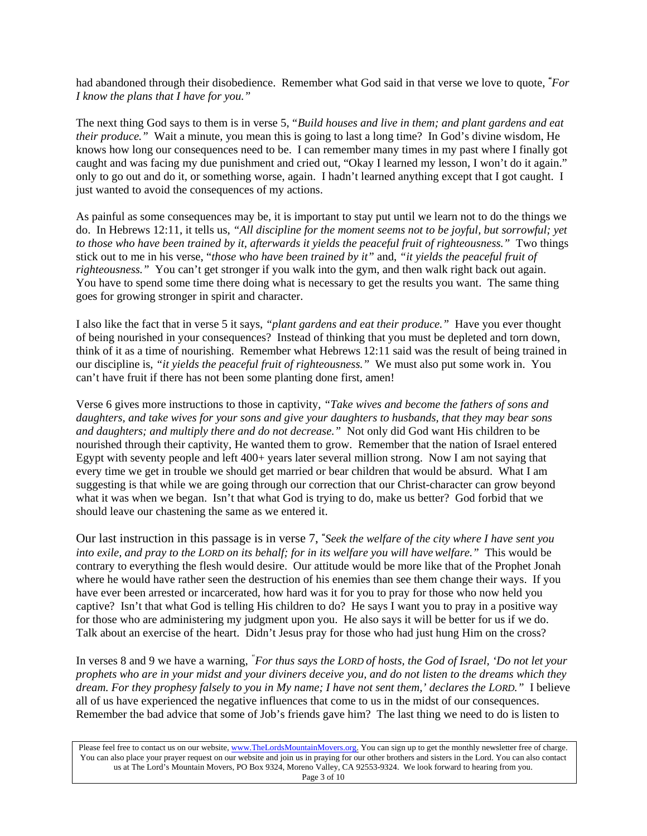had abandoned through their disobedience. Remember what God said in that verse we love to quote, *" For I know the plans that I have for you."*

The next thing God says to them is in verse 5, *"Build houses and live in them; and plant gardens and eat their produce."* Wait a minute, you mean this is going to last a long time? In God's divine wisdom, He knows how long our consequences need to be. I can remember many times in my past where I finally got caught and was facing my due punishment and cried out, "Okay I learned my lesson, I won't do it again." only to go out and do it, or something worse, again. I hadn't learned anything except that I got caught. I just wanted to avoid the consequences of my actions.

As painful as some consequences may be, it is important to stay put until we learn not to do the things we do. In Hebrews 12:11, it tells us, *"All discipline for the moment seems not to be joyful, but sorrowful; yet to those who have been trained by it, afterwards it yields the peaceful fruit of righteousness."* Two things stick out to me in his verse, "*those who have been trained by it"* and, *"it yields the peaceful fruit of righteousness."* You can't get stronger if you walk into the gym, and then walk right back out again. You have to spend some time there doing what is necessary to get the results you want. The same thing goes for growing stronger in spirit and character.

I also like the fact that in verse 5 it says, *"plant gardens and eat their produce."* Have you ever thought of being nourished in your consequences? Instead of thinking that you must be depleted and torn down, think of it as a time of nourishing. Remember what Hebrews 12:11 said was the result of being trained in our discipline is, *"it yields the peaceful fruit of righteousness."* We must also put some work in. You can't have fruit if there has not been some planting done first, amen!

Verse 6 gives more instructions to those in captivity, *"Take wives and become the fathers of sons and daughters, and take wives for your sons and give your daughters to husbands, that they may bear sons and daughters; and multiply there and do not decrease."* Not only did God want His children to be nourished through their captivity, He wanted them to grow. Remember that the nation of Israel entered Egypt with seventy people and left 400+ years later several million strong. Now I am not saying that every time we get in trouble we should get married or bear children that would be absurd. What I am suggesting is that while we are going through our correction that our Christ-character can grow beyond what it was when we began. Isn't that what God is trying to do, make us better? God forbid that we should leave our chastening the same as we entered it.

Our last instruction in this passage is in verse 7, *" Seek the welfare of the city where I have sent you into exile, and pray to the LORD on its behalf; for in its welfare you will havewelfare."* This would be contrary to everything the flesh would desire. Our attitude would be more like that of the Prophet Jonah where he would have rather seen the destruction of his enemies than see them change their ways. If you have ever been arrested or incarcerated, how hard was it for you to pray for those who now held you captive? Isn't that what God is telling His children to do? He says I want you to pray in a positive way for those who are administering my judgment upon you. He also says it will be better for us if we do. Talk about an exercise of the heart. Didn't Jesus pray for those who had just hung Him on the cross?

In verses 8 and 9 we have a warning, *" For thus says the LORD of hosts, the God of Israel, 'Do not let your prophets who are in your midst and your diviners deceive you, and do not listen to the dreams which they dream. For they prophesy falsely to you in My name; I have not sent them,' declares the LORD."* I believe all of us have experienced the negative influences that come to us in the midst of our consequences. Remember the bad advice that some of Job's friends gave him? The last thing we need to do is listen to

Please feel free to contact us on our website, ww[w.TheLordsMountainMovers.o](http://www.thelordsmountainmovers.org/)rg. You can sign up to get the monthly newsletter free of charge. You can also place your prayer request on our website and join us in praying for our other brothers and sisters in the Lord. You can also contact us at The Lord's Mountain Movers, PO Box 9324, Moreno Valley, CA 92553-9324. We look forward to hearing from you. Page 3 of 10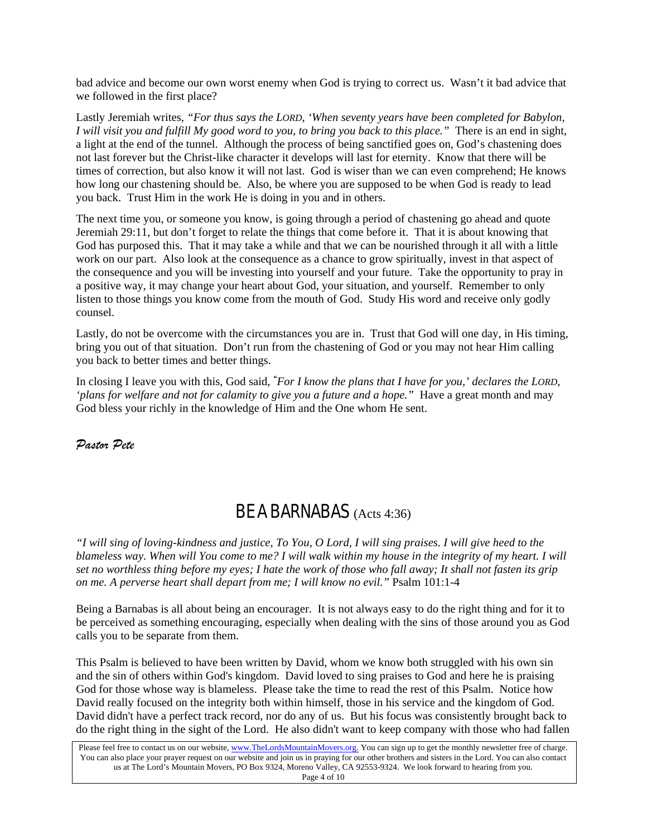bad advice and become our own worst enemy when God is trying to correct us. Wasn't it bad advice that we followed in the first place?

Lastly Jeremiah writes, *"For thus says the LORD, 'When seventy years have been completed for Babylon, I will visit you and fulfill My good word to you, to bring you back to this place."* There is an end in sight, a light at the end of the tunnel. Although the process of being sanctified goes on, God's chastening does not last forever but the Christ-like character it develops will last for eternity. Know that there will be times of correction, but also know it will not last. God is wiser than we can even comprehend; He knows how long our chastening should be. Also, be where you are supposed to be when God is ready to lead you back. Trust Him in the work He is doing in you and in others.

The next time you, or someone you know, is going through a period of chastening go ahead and quote Jeremiah 29:11, but don't forget to relate the things that come before it. That it is about knowing that God has purposed this. That it may take a while and that we can be nourished through it all with a little work on our part. Also look at the consequence as a chance to grow spiritually, invest in that aspect of the consequence and you will be investing into yourself and your future. Take the opportunity to pray in a positive way, it may change your heart about God, your situation, and yourself. Remember to only listen to those things you know come from the mouth of God. Study His word and receive only godly counsel.

Lastly, do not be overcome with the circumstances you are in. Trust that God will one day, in His timing, bring you out of that situation. Don't run from the chastening of God or you may not hear Him calling you back to better times and better things.

In closing I leave you with this, God said, *" For I know the plans that I have for you,' declares the LORD, 'plans for welfare and not for calamity to give you a future and a hope."* Have a great month and may God bless your richly in the knowledge of Him and the One whom He sent.

*Pastor Pete*

# BE A BARNABAS (Acts 4:36)

*"I will sing of loving-kindness and justice, To You, O Lord, I will sing praises. I will give heed to the blameless way. When will You come to me? I will walk within my house in the integrity of my heart. I will set no worthless thing before my eyes; I hate the work of those who fall away; It shall not fasten its grip on me. A perverse heart shall depart from me; I will know no evil."* Psalm 101:1-4

Being a Barnabas is all about being an encourager. It is not always easy to do the right thing and for it to be perceived as something encouraging, especially when dealing with the sins of those around you as God calls you to be separate from them.

This Psalm is believed to have been written by David, whom we know both struggled with his own sin and the sin of others within God's kingdom. David loved to sing praises to God and here he is praising God for those whose way is blameless. Please take the time to read the rest of this Psalm. Notice how David really focused on the integrity both within himself, those in his service and the kingdom of God. David didn't have a perfect track record, nor do any of us. But his focus was consistently brought back to do the right thing in the sight of the Lord. He also didn't want to keep company with those who had fallen

Please feel free to contact us on our website, ww[w.TheLordsMountainMovers.o](http://www.thelordsmountainmovers.org/)rg. You can sign up to get the monthly newsletter free of charge. You can also place your prayer request on our website and join us in praying for our other brothers and sisters in the Lord. You can also contact us at The Lord's Mountain Movers, PO Box 9324, Moreno Valley, CA 92553-9324. We look forward to hearing from you. Page 4 of 10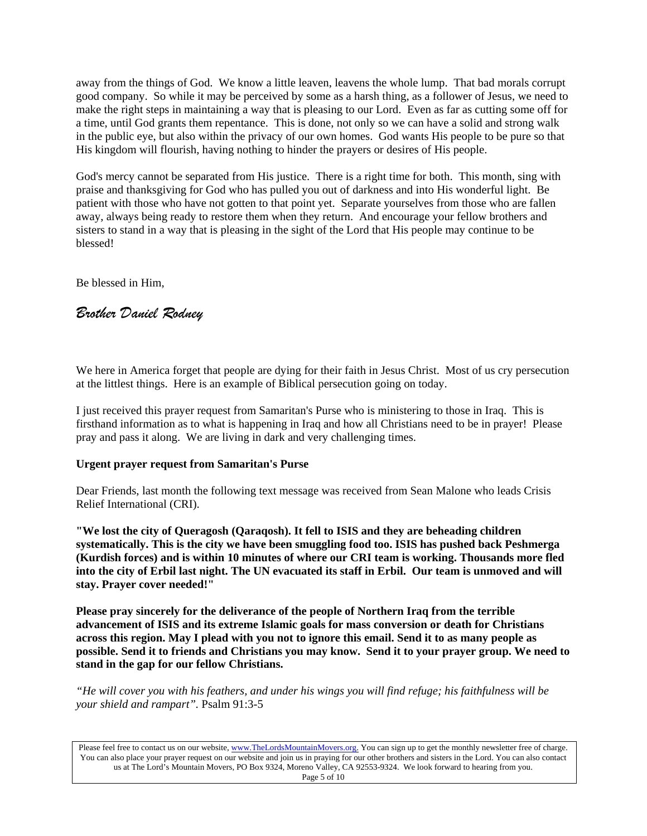away from the things of God. We know a little leaven, leavens the whole lump. That bad morals corrupt good company. So while it may be perceived by some as a harsh thing, as a follower of Jesus, we need to make the right steps in maintaining a way that is pleasing to our Lord. Even as far as cutting some off for a time, until God grants them repentance. This is done, not only so we can have a solid and strong walk in the public eye, but also within the privacy of our own homes. God wants His people to be pure so that His kingdom will flourish, having nothing to hinder the prayers or desires of His people.

God's mercy cannot be separated from His justice. There is a right time for both. This month, sing with praise and thanksgiving for God who has pulled you out of darkness and into His wonderful light. Be patient with those who have not gotten to that point yet. Separate yourselves from those who are fallen away, always being ready to restore them when they return. And encourage your fellow brothers and sisters to stand in a way that is pleasing in the sight of the Lord that His people may continue to be blessed!

Be blessed in Him,

# *Brother Daniel Rodney*

We here in America forget that people are dying for their faith in Jesus Christ. Most of us cry persecution at the littlest things. Here is an example of Biblical persecution going on today.

I just received this prayer request from Samaritan's Purse who is ministering to those in Iraq. This is firsthand information as to what is happening in Iraq and how all Christians need to be in prayer! Please pray and pass it along. We are living in dark and very challenging times.

# **Urgent prayer request from Samaritan's Purse**

Dear Friends, last month the following text message was received from Sean Malone who leads Crisis Relief International (CRI).

**"We lost the city of Queragosh (Qaraqosh). It fell to ISIS and they are beheading children systematically. This is the city we have been smuggling food too. ISIS has pushed back Peshmerga (Kurdish forces) and is within 10 minutes of where our CRI team is working. Thousands more fled into the city of Erbil last night. The UN evacuated its staff in Erbil. Our team is unmoved and will stay. Prayer cover needed!"**

**Please pray sincerely for the deliverance of the people of Northern Iraq from the terrible advancement of ISIS and its extreme Islamic goals for mass conversion or death for Christians across this region. May I plead with you not to ignore this email. Send it to as many people as possible. Send it to friends and Christians you may know. Send it to your prayer group. We need to stand in the gap for our fellow Christians.**

*"He will cover you with his feathers, and under his wings you will find refuge; his faithfulness will be your shield and rampart".* Psalm 91:3-5

Please feel free to contact us on our website, ww[w.TheLordsMountainMovers.o](http://www.thelordsmountainmovers.org/)rg. You can sign up to get the monthly newsletter free of charge. You can also place your prayer request on our website and join us in praying for our other brothers and sisters in the Lord. You can also contact us at The Lord's Mountain Movers, PO Box 9324, Moreno Valley, CA 92553-9324. We look forward to hearing from you. Page 5 of 10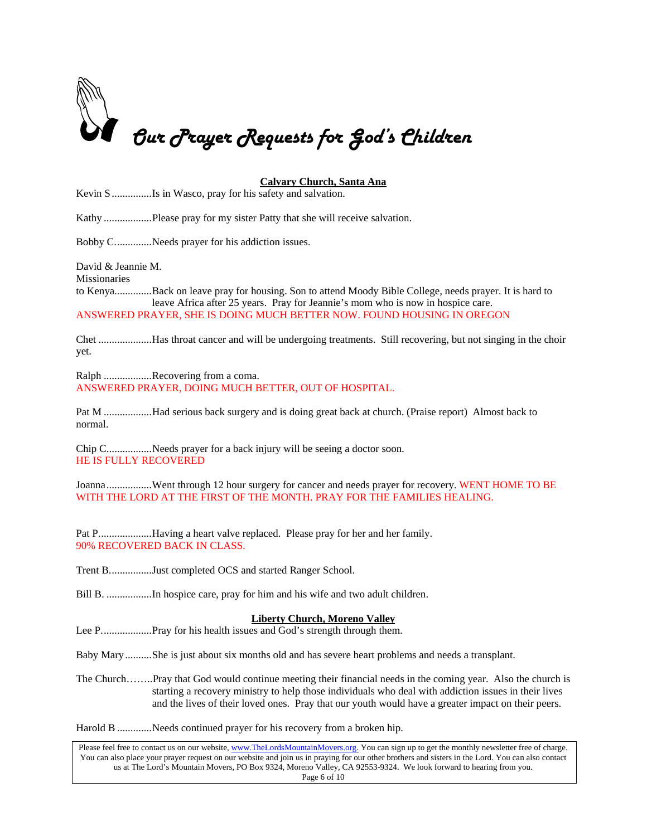

# **Calvary Church, Santa Ana**

Kevin S...............Is in Wasco, pray for his safety and salvation.

Kathy ..................Please pray for my sister Patty that she will receive salvation.

Bobby C..............Needs prayer for his addiction issues.

David & Jeannie M.

**Missionaries** 

to Kenya..............Back on leave pray for housing. Son to attend Moody Bible College, needs prayer. It is hard to leave Africa after 25 years. Pray for Jeannie's mom who is now in hospice care. ANSWERED PRAYER, SHE IS DOING MUCH BETTER NOW. FOUND HOUSING IN OREGON

Chet ....................Has throat cancer and will be undergoing treatments. Still recovering, but not singing in the choir yet.

Ralph .................Recovering from a coma. ANSWERED PRAYER, DOING MUCH BETTER, OUT OF HOSPITAL.

Pat M ..................Had serious back surgery and is doing great back at church. (Praise report) Almost back to normal.

Chip C.................Needs prayer for a back injury will be seeing a doctor soon. HE IS FULLY RECOVERED

Joanna..................Went through 12 hour surgery for cancer and needs prayer for recovery. WENT HOME TO BE WITH THE LORD AT THE FIRST OF THE MONTH. PRAY FOR THE FAMILIES HEALING.

Pat P....................Having a heart valve replaced. Please pray for her and her family. 90% RECOVERED BACK IN CLASS.

Trent B................Just completed OCS and started Ranger School.

Bill B. .................In hospice care, pray for him and his wife and two adult children.

# **Liberty Church, Moreno Valley**

Lee P........................Pray for his health issues and God's strength through them.

Baby Mary..........She is just about six months old and has severe heart problems and needs a transplant.

The Church……..Pray that God would continue meeting their financial needs in the coming year. Also the church is starting a recovery ministry to help those individuals who deal with addiction issues in their lives and the lives of their loved ones. Pray that our youth would have a greater impact on their peers.

Harold B .............Needs continued prayer for his recovery from a broken hip.

Please feel free to contact us on our website, ww[w.TheLordsMountainMovers.o](http://www.thelordsmountainmovers.org/)rg. You can sign up to get the monthly newsletter free of charge. You can also place your prayer request on our website and join us in praying for our other brothers and sisters in the Lord. You can also contact us at The Lord's Mountain Movers, PO Box 9324, Moreno Valley, CA 92553-9324. We look forward to hearing from you. Page 6 of 10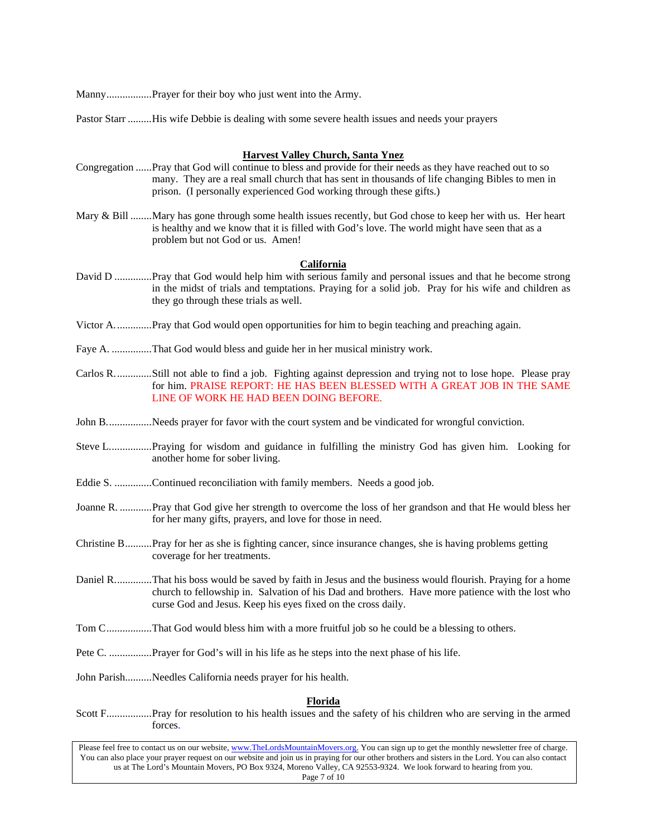Manny.................Prayer for their boy who just went into the Army.

Pastor Starr .........His wife Debbie is dealing with some severe health issues and needs your prayers

# **Harvest Valley Church, Santa Ynez**

- Congregation ......Pray that God will continue to bless and provide for their needs as they have reached out to so many. They are a real small church that has sent in thousands of life changing Bibles to men in prison. (I personally experienced God working through these gifts.)
- Mary & Bill ........Mary has gone through some health issues recently, but God chose to keep her with us. Her heart is healthy and we know that it is filled with God's love. The world might have seen that as a problem but not God or us. Amen!

# **California**

- David D ..............Pray that God would help him with serious family and personal issues and that he become strong in the midst of trials and temptations. Praying for a solid job. Pray for his wife and children as they go through these trials as well.
- Victor A..............Pray that God would open opportunities for him to begin teaching and preaching again.
- Faye A. ...............That God would bless and guide her in her musical ministry work.
- Carlos R..............Still not able to find a job. Fighting against depression and trying not to lose hope. Please pray for him. PRAISE REPORT: HE HAS BEEN BLESSED WITH A GREAT JOB IN THE SAME LINE OF WORK HE HAD BEEN DOING BEFORE.
- John B..................Needs prayer for favor with the court system and be vindicated for wrongful conviction.
- Steve L................Praying for wisdom and guidance in fulfilling the ministry God has given him. Looking for another home for sober living.
- Eddie S. ..............Continued reconciliation with family members. Needs a good job.
- Joanne R. ............Pray that God give her strength to overcome the loss of her grandson and that He would bless her for her many gifts, prayers, and love for those in need.
- Christine B..........Pray for her as she is fighting cancer, since insurance changes, she is having problems getting coverage for her treatments.
- Daniel R..............That his boss would be saved by faith in Jesus and the business would flourish. Praying for a home church to fellowship in. Salvation of his Dad and brothers. Have more patience with the lost who curse God and Jesus. Keep his eyes fixed on the cross daily.
- Tom C.................That God would bless him with a more fruitful job so he could be a blessing to others.
- Pete C. ................Prayer for God's will in his life as he steps into the next phase of his life.
- John Parish..........Needles California needs prayer for his health.

# **Florida**

Scott F.................Pray for resolution to his health issues and the safety of his children who are serving in the armed forces.

Please feel free to contact us on our website, ww[w.TheLordsMountainMovers.o](http://www.thelordsmountainmovers.org/)rg. You can sign up to get the monthly newsletter free of charge. You can also place your prayer request on our website and join us in praying for our other brothers and sisters in the Lord. You can also contact us at The Lord's Mountain Movers, PO Box 9324, Moreno Valley, CA 92553-9324. We look forward to hearing from you. Page 7 of 10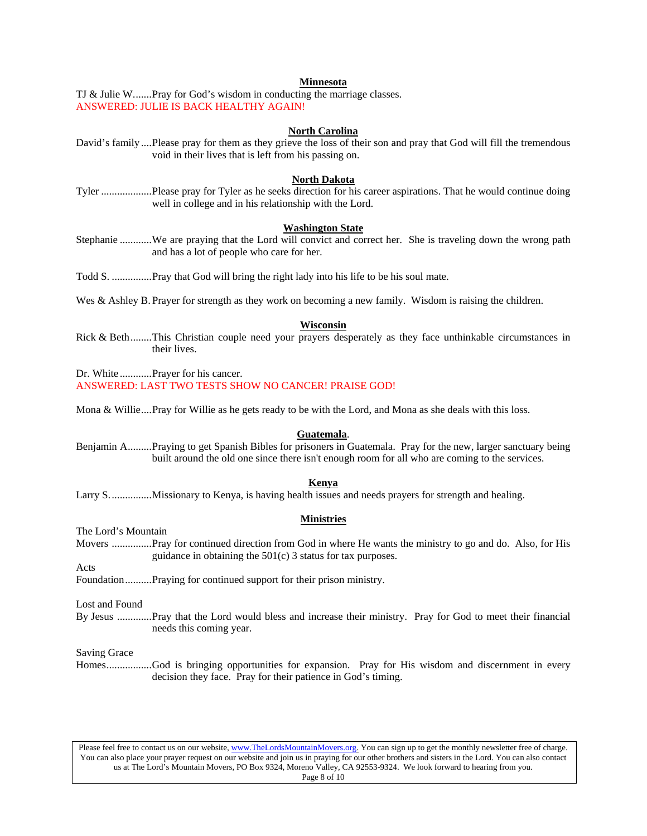### **Minnesota**

TJ & Julie W.......Pray for God's wisdom in conducting the marriage classes. ANSWERED: JULIE IS BACK HEALTHY AGAIN!

#### **North Carolina**

David's family ....Please pray for them as they grieve the loss of their son and pray that God will fill the tremendous void in their lives that is left from his passing on.

# **North Dakota**

Tyler ...................Please pray for Tyler as he seeks direction for his career aspirations. That he would continue doing well in college and in his relationship with the Lord.

#### **Washington State**

Stephanie ............We are praying that the Lord will convict and correct her. She is traveling down the wrong path and has a lot of people who care for her.

Todd S. ...............Pray that God will bring the right lady into his life to be his soul mate.

Wes & Ashley B. Prayer for strength as they work on becoming a new family. Wisdom is raising the children.

#### **Wisconsin**

Rick & Beth........This Christian couple need your prayers desperately as they face unthinkable circumstances in their lives.

Dr. White ............Prayer for his cancer. ANSWERED: LAST TWO TESTS SHOW NO CANCER! PRAISE GOD!

Mona & Willie....Pray for Willie as he gets ready to be with the Lord, and Mona as she deals with this loss.

#### **Guatemala**.

Benjamin A.........Praying to get Spanish Bibles for prisoners in Guatemala. Pray for the new, larger sanctuary being built around the old one since there isn't enough room for all who are coming to the services.

### **Kenya**

Larry S................Missionary to Kenya, is having health issues and needs prayers for strength and healing.

### **Ministries**

The Lord's Mountain

Movers ...............Pray for continued direction from God in where He wants the ministry to go and do. Also, for His guidance in obtaining the 501(c) 3 status for tax purposes.

Acts

Foundation..........Praying for continued support for their prison ministry.

Lost and Found

By Jesus .............Pray that the Lord would bless and increase their ministry. Pray for God to meet their financial needs this coming year.

Saving Grace

Homes.................God is bringing opportunities for expansion. Pray for His wisdom and discernment in every decision they face. Pray for their patience in God's timing.

Please feel free to contact us on our website, ww[w.TheLordsMountainMovers.o](http://www.thelordsmountainmovers.org/)rg. You can sign up to get the monthly newsletter free of charge. You can also place your prayer request on our website and join us in praying for our other brothers and sisters in the Lord. You can also contact us at The Lord's Mountain Movers, PO Box 9324, Moreno Valley, CA 92553-9324. We look forward to hearing from you. Page 8 of 10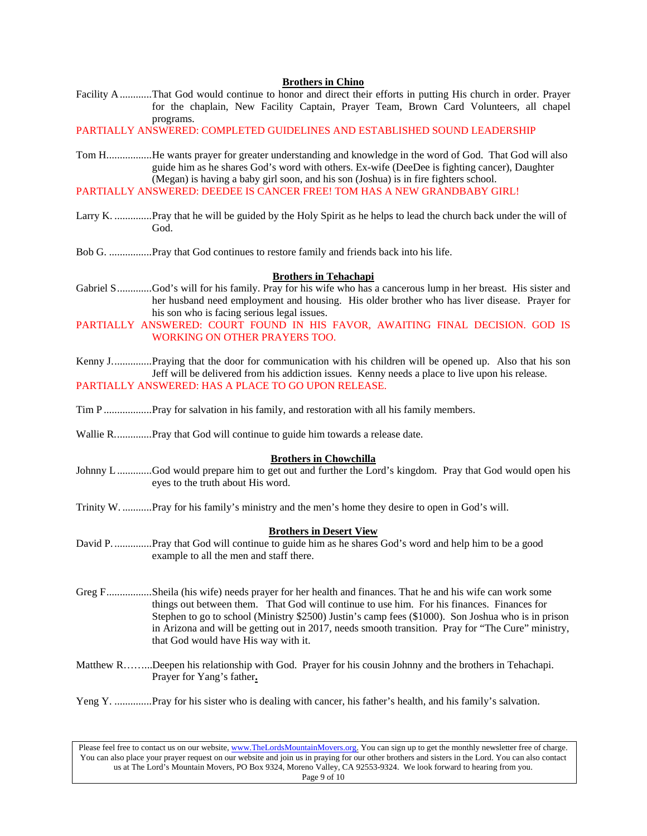# **Brothers in Chino**

Facility A............That God would continue to honor and direct their efforts in putting His church in order. Prayer for the chaplain, New Facility Captain, Prayer Team, Brown Card Volunteers, all chapel programs.

PARTIALLY ANSWERED: COMPLETED GUIDELINES AND ESTABLISHED SOUND LEADERSHIP

- Tom H.................He wants prayer for greater understanding and knowledge in the word of God. That God will also guide him as he shares God's word with others. Ex-wife (DeeDee is fighting cancer), Daughter (Megan) is having a baby girl soon, and his son (Joshua) is in fire fighters school.
- PARTIALLY ANSWERED: DEEDEE IS CANCER FREE! TOM HAS A NEW GRANDBABY GIRL!
- Larry K. ..............Pray that he will be guided by the Holy Spirit as he helps to lead the church back under the will of God.
- Bob G. ................Pray that God continues to restore family and friends back into his life.

#### **Brothers in Tehachapi**

- Gabriel S.............God's will for his family. Pray for his wife who has a cancerous lump in her breast. His sister and her husband need employment and housing. His older brother who has liver disease. Prayer for his son who is facing serious legal issues.
- PARTIALLY ANSWERED: COURT FOUND IN HIS FAVOR, AWAITING FINAL DECISION. GOD IS WORKING ON OTHER PRAYERS TOO.
- Kenny J...............Praying that the door for communication with his children will be opened up. Also that his son Jeff will be delivered from his addiction issues. Kenny needs a place to live upon his release. PARTIALLY ANSWERED: HAS A PLACE TO GO UPON RELEASE.
- Tim P ..................Pray for salvation in his family, and restoration with all his family members.
- Wallie R................Pray that God will continue to guide him towards a release date.

#### **Brothers in Chowchilla**

- Johnny L.............God would prepare him to get out and further the Lord's kingdom. Pray that God would open his eyes to the truth about His word.
- Trinity W. ...........Pray for his family's ministry and the men's home they desire to open in God's will.

#### **Brothers in Desert View**

- David P. ..............Pray that God will continue to guide him as he shares God's word and help him to be a good example to all the men and staff there.
- Greg F.................Sheila (his wife) needs prayer for her health and finances. That he and his wife can work some things out between them. That God will continue to use him. For his finances. Finances for Stephen to go to school (Ministry \$2500) Justin's camp fees (\$1000). Son Joshua who is in prison in Arizona and will be getting out in 2017, needs smooth transition. Pray for "The Cure" ministry, that God would have His way with it.
- Matthew R……...Deepen his relationship with God. Prayer for his cousin Johnny and the brothers in Tehachapi. Prayer for Yang's father**.**
- Yeng Y. ................Pray for his sister who is dealing with cancer, his father's health, and his family's salvation.

Please feel free to contact us on our website, ww[w.TheLordsMountainMovers.o](http://www.thelordsmountainmovers.org/)rg. You can sign up to get the monthly newsletter free of charge. You can also place your prayer request on our website and join us in praying for our other brothers and sisters in the Lord. You can also contact us at The Lord's Mountain Movers, PO Box 9324, Moreno Valley, CA 92553-9324. We look forward to hearing from you. Page 9 of 10